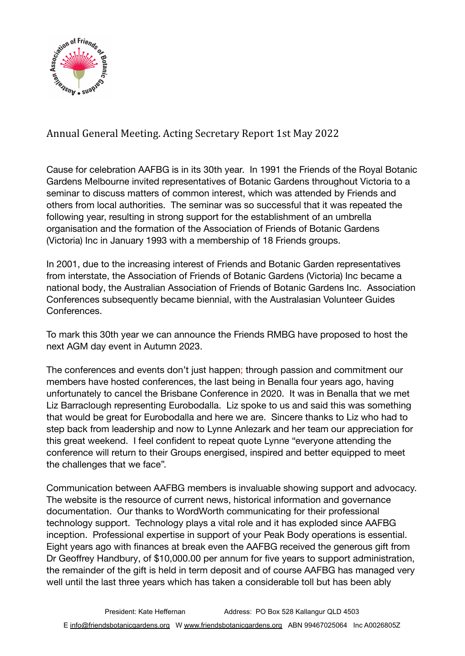

## Annual General Meeting. Acting Secretary Report 1st May 2022

Cause for celebration AAFBG is in its 30th year. In 1991 the Friends of the Royal Botanic Gardens Melbourne invited representatives of Botanic Gardens throughout Victoria to a seminar to discuss matters of common interest, which was attended by Friends and others from local authorities. The seminar was so successful that it was repeated the following year, resulting in strong support for the establishment of an umbrella organisation and the formation of the Association of Friends of Botanic Gardens (Victoria) Inc in January 1993 with a membership of 18 Friends groups.

In 2001, due to the increasing interest of Friends and Botanic Garden representatives from interstate, the Association of Friends of Botanic Gardens (Victoria) Inc became a national body, the Australian Association of Friends of Botanic Gardens Inc. Association Conferences subsequently became biennial, with the Australasian Volunteer Guides **Conferences** 

To mark this 30th year we can announce the Friends RMBG have proposed to host the next AGM day event in Autumn 2023.

The conferences and events don't just happen; through passion and commitment our members have hosted conferences, the last being in Benalla four years ago, having unfortunately to cancel the Brisbane Conference in 2020. It was in Benalla that we met Liz Barraclough representing Eurobodalla. Liz spoke to us and said this was something that would be great for Eurobodalla and here we are. Sincere thanks to Liz who had to step back from leadership and now to Lynne Anlezark and her team our appreciation for this great weekend. I feel confident to repeat quote Lynne "everyone attending the conference will return to their Groups energised, inspired and better equipped to meet the challenges that we face".

Communication between AAFBG members is invaluable showing support and advocacy. The website is the resource of current news, historical information and governance documentation. Our thanks to WordWorth communicating for their professional technology support. Technology plays a vital role and it has exploded since AAFBG inception. Professional expertise in support of your Peak Body operations is essential. Eight years ago with finances at break even the AAFBG received the generous gift from Dr Geoffrey Handbury, of \$10,000.00 per annum for five years to support administration, the remainder of the gift is held in term deposit and of course AAFBG has managed very well until the last three years which has taken a considerable toll but has been ably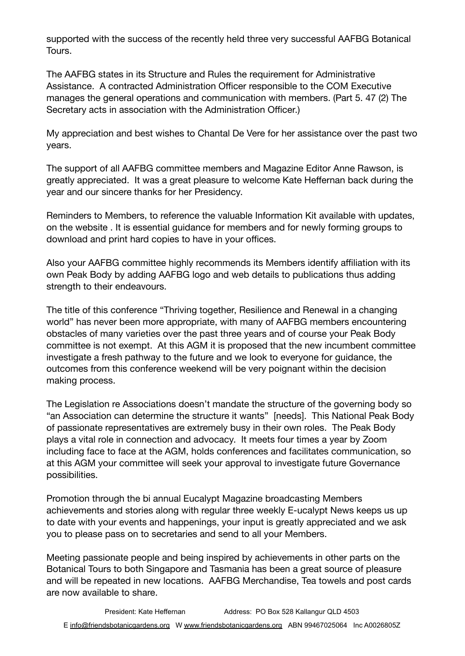supported with the success of the recently held three very successful AAFBG Botanical Tours.

The AAFBG states in its Structure and Rules the requirement for Administrative Assistance. A contracted Administration Officer responsible to the COM Executive manages the general operations and communication with members. (Part 5. 47 (2) The Secretary acts in association with the Administration Officer.)

My appreciation and best wishes to Chantal De Vere for her assistance over the past two years.

The support of all AAFBG committee members and Magazine Editor Anne Rawson, is greatly appreciated. It was a great pleasure to welcome Kate Heffernan back during the year and our sincere thanks for her Presidency.

Reminders to Members, to reference the valuable Information Kit available with updates, on the website . It is essential guidance for members and for newly forming groups to download and print hard copies to have in your offices.

Also your AAFBG committee highly recommends its Members identify affiliation with its own Peak Body by adding AAFBG logo and web details to publications thus adding strength to their endeavours.

The title of this conference "Thriving together, Resilience and Renewal in a changing world" has never been more appropriate, with many of AAFBG members encountering obstacles of many varieties over the past three years and of course your Peak Body committee is not exempt. At this AGM it is proposed that the new incumbent committee investigate a fresh pathway to the future and we look to everyone for guidance, the outcomes from this conference weekend will be very poignant within the decision making process.

The Legislation re Associations doesn't mandate the structure of the governing body so "an Association can determine the structure it wants" [needs]. This National Peak Body of passionate representatives are extremely busy in their own roles. The Peak Body plays a vital role in connection and advocacy. It meets four times a year by Zoom including face to face at the AGM, holds conferences and facilitates communication, so at this AGM your committee will seek your approval to investigate future Governance possibilities.

Promotion through the bi annual Eucalypt Magazine broadcasting Members achievements and stories along with regular three weekly E-ucalypt News keeps us up to date with your events and happenings, your input is greatly appreciated and we ask you to please pass on to secretaries and send to all your Members.

Meeting passionate people and being inspired by achievements in other parts on the Botanical Tours to both Singapore and Tasmania has been a great source of pleasure and will be repeated in new locations. AAFBG Merchandise, Tea towels and post cards are now available to share.